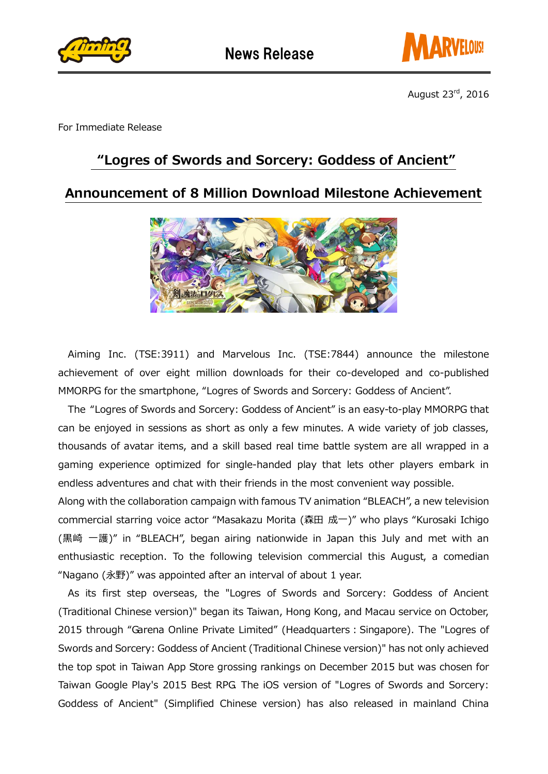



For Immediate Release

## "Logres of Swords and Sorcery: Goddess of Ancient"

## Announcement of 8 Million Download Milestone Achievement



Aiming Inc. (TSE:3911) and Marvelous Inc. (TSE:7844) announce the milestone achievement of over eight million downloads for their co-developed and co-published MMORPG for the smartphone, "Logres of Swords and Sorcery: Goddess of Ancient".

The "Logres of Swords and Sorcery: Goddess of Ancient" is an easy-to-play MMORPG that can be enjoyed in sessions as short as only a few minutes. A wide variety of job classes, thousands of avatar items, and a skill based real time battle system are all wrapped in a gaming experience optimized for single-handed play that lets other players embark in endless adventures and chat with their friends in the most convenient way possible.

Along with the collaboration campaign with famous TV animation "BLEACH", a new television commercial starring voice actor "Masakazu Morita (森田 成一)" who plays "Kurosaki Ichigo (黒崎 一護)" in "BLEACH", began airing nationwide in Japan this July and met with an enthusiastic reception. To the following television commercial this August, a comedian "Nagano (永野)" was appointed after an interval of about 1 year.

 As its first step overseas, the "Logres of Swords and Sorcery: Goddess of Ancient (Traditional Chinese version)" began its Taiwan, Hong Kong, and Macau service on October, 2015 through "Garena Online Private Limited" (Headquarters: Singapore). The "Logres of Swords and Sorcery: Goddess of Ancient (Traditional Chinese version)" has not only achieved the top spot in Taiwan App Store grossing rankings on December 2015 but was chosen for Taiwan Google Play's 2015 Best RPG. The iOS version of "Logres of Swords and Sorcery: Goddess of Ancient" (Simplified Chinese version) has also released in mainland China